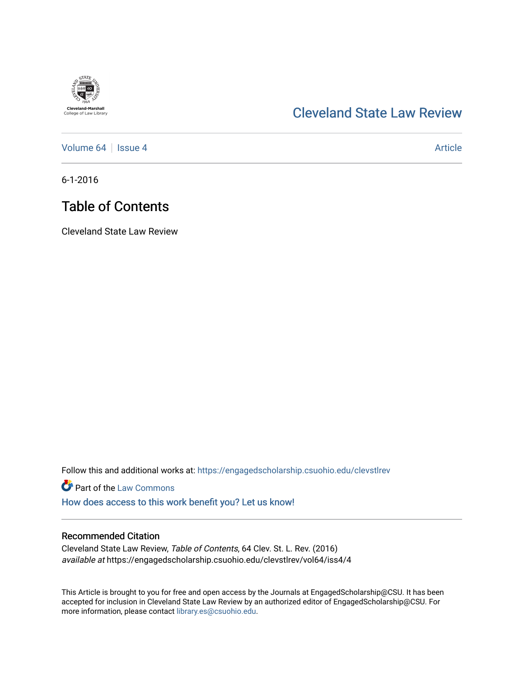# **Cleveland-Marshall**<br>College of Law Library

## [Cleveland State Law Review](https://engagedscholarship.csuohio.edu/clevstlrev)

[Volume 64](https://engagedscholarship.csuohio.edu/clevstlrev/vol64) | [Issue 4](https://engagedscholarship.csuohio.edu/clevstlrev/vol64/iss4) Article

6-1-2016

# Table of Contents

Cleveland State Law Review

Follow this and additional works at: [https://engagedscholarship.csuohio.edu/clevstlrev](https://engagedscholarship.csuohio.edu/clevstlrev?utm_source=engagedscholarship.csuohio.edu%2Fclevstlrev%2Fvol64%2Fiss4%2F4&utm_medium=PDF&utm_campaign=PDFCoverPages)

**Part of the [Law Commons](http://network.bepress.com/hgg/discipline/578?utm_source=engagedscholarship.csuohio.edu%2Fclevstlrev%2Fvol64%2Fiss4%2F4&utm_medium=PDF&utm_campaign=PDFCoverPages)** 

[How does access to this work benefit you? Let us know!](http://library.csuohio.edu/engaged/)

### Recommended Citation

Cleveland State Law Review, Table of Contents, 64 Clev. St. L. Rev. (2016) available at https://engagedscholarship.csuohio.edu/clevstlrev/vol64/iss4/4

This Article is brought to you for free and open access by the Journals at EngagedScholarship@CSU. It has been accepted for inclusion in Cleveland State Law Review by an authorized editor of EngagedScholarship@CSU. For more information, please contact [library.es@csuohio.edu](mailto:library.es@csuohio.edu).